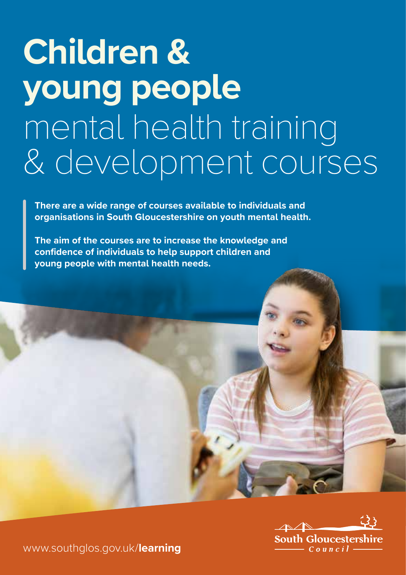# **Children & young people** mental health training & development courses

**There are a wide range of courses available to individuals and organisations in South Gloucestershire on youth mental health.** 

**The aim of the courses are to increase the knowledge and confidence of individuals to help support children and young people with mental health needs.**



www.southglos.gov.uk/**learning**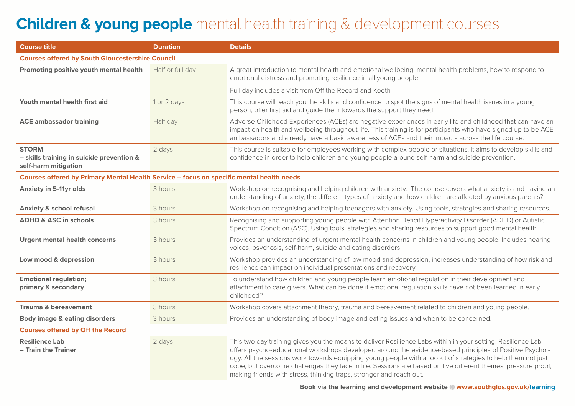## **Children & young people** mental health training & development courses

| <b>Course title</b>                                                                      | <b>Duration</b>  | <b>Details</b>                                                                                                                                                                                                                                                                                                                                                                                                                                                                                                                 |
|------------------------------------------------------------------------------------------|------------------|--------------------------------------------------------------------------------------------------------------------------------------------------------------------------------------------------------------------------------------------------------------------------------------------------------------------------------------------------------------------------------------------------------------------------------------------------------------------------------------------------------------------------------|
| <b>Courses offered by South Gloucestershire Council</b>                                  |                  |                                                                                                                                                                                                                                                                                                                                                                                                                                                                                                                                |
| Promoting positive youth mental health                                                   | Half or full day | A great introduction to mental health and emotional wellbeing, mental health problems, how to respond to<br>emotional distress and promoting resilience in all young people.                                                                                                                                                                                                                                                                                                                                                   |
|                                                                                          |                  | Full day includes a visit from Off the Record and Kooth                                                                                                                                                                                                                                                                                                                                                                                                                                                                        |
| Youth mental health first aid                                                            | 1 or 2 days      | This course will teach you the skills and confidence to spot the signs of mental health issues in a young<br>person, offer first aid and guide them towards the support they need.                                                                                                                                                                                                                                                                                                                                             |
| <b>ACE ambassador training</b>                                                           | Half day         | Adverse Childhood Experiences (ACEs) are negative experiences in early life and childhood that can have an<br>impact on health and wellbeing throughout life. This training is for participants who have signed up to be ACE<br>ambassadors and already have a basic awareness of ACEs and their impacts across the life course.                                                                                                                                                                                               |
| <b>STORM</b><br>- skills training in suicide prevention &<br>self-harm mitigation        | 2 days           | This course is suitable for employees working with complex people or situations. It aims to develop skills and<br>confidence in order to help children and young people around self-harm and suicide prevention.                                                                                                                                                                                                                                                                                                               |
| Courses offered by Primary Mental Health Service - focus on specific mental health needs |                  |                                                                                                                                                                                                                                                                                                                                                                                                                                                                                                                                |
| <b>Anxiety in 5-11yr olds</b>                                                            | 3 hours          | Workshop on recognising and helping children with anxiety. The course covers what anxiety is and having an<br>understanding of anxiety, the different types of anxiety and how children are affected by anxious parents?                                                                                                                                                                                                                                                                                                       |
| <b>Anxiety &amp; school refusal</b>                                                      | 3 hours          | Workshop on recognising and helping teenagers with anxiety. Using tools, strategies and sharing resources.                                                                                                                                                                                                                                                                                                                                                                                                                     |
| <b>ADHD &amp; ASC in schools</b>                                                         | 3 hours          | Recognising and supporting young people with Attention Deficit Hyperactivity Disorder (ADHD) or Autistic<br>Spectrum Condition (ASC). Using tools, strategies and sharing resources to support good mental health.                                                                                                                                                                                                                                                                                                             |
| <b>Urgent mental health concerns</b>                                                     | 3 hours          | Provides an understanding of urgent mental health concerns in children and young people. Includes hearing<br>voices, psychosis, self-harm, suicide and eating disorders.                                                                                                                                                                                                                                                                                                                                                       |
| Low mood & depression                                                                    | 3 hours          | Workshop provides an understanding of low mood and depression, increases understanding of how risk and<br>resilience can impact on individual presentations and recovery.                                                                                                                                                                                                                                                                                                                                                      |
| <b>Emotional regulation;</b><br>primary & secondary                                      | 3 hours          | To understand how children and young people learn emotional regulation in their development and<br>attachment to care givers. What can be done if emotional regulation skills have not been learned in early<br>childhood?                                                                                                                                                                                                                                                                                                     |
| <b>Trauma &amp; bereavement</b>                                                          | 3 hours          | Workshop covers attachment theory, trauma and bereavement related to children and young people.                                                                                                                                                                                                                                                                                                                                                                                                                                |
| <b>Body image &amp; eating disorders</b>                                                 | 3 hours          | Provides an understanding of body image and eating issues and when to be concerned.                                                                                                                                                                                                                                                                                                                                                                                                                                            |
| <b>Courses offered by Off the Record</b>                                                 |                  |                                                                                                                                                                                                                                                                                                                                                                                                                                                                                                                                |
| <b>Resilience Lab</b><br>- Train the Trainer                                             | 2 days           | This two day training gives you the means to deliver Resilience Labs within in your setting. Resilience Lab<br>offers psycho-educational workshops developed around the evidence-based principles of Positive Psychol-<br>ogy. All the sessions work towards equipping young people with a toolkit of strategies to help them not just<br>cope, but overcome challenges they face in life. Sessions are based on five different themes: pressure proof,<br>making friends with stress, thinking traps, stronger and reach out. |